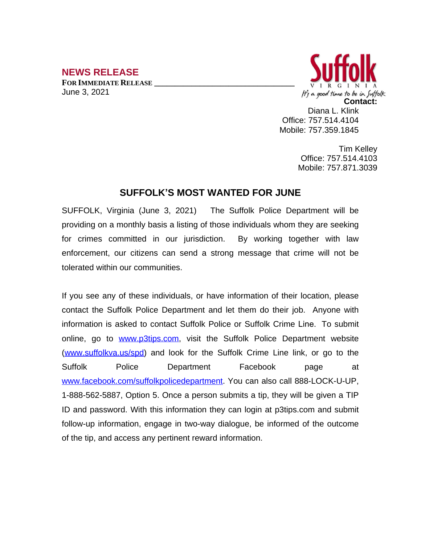## **NEWS RELEASE**

**FOR IMMEDIATE RELEASE \_\_\_\_\_\_\_\_\_\_\_\_\_\_\_\_\_\_\_\_\_\_\_\_\_\_\_\_\_\_\_\_\_\_** June 3, 2021



Diana L. Klink Office: 757.514.4104 Mobile: 757.359.1845

> Tim Kelley Office: 757.514.4103 Mobile: 757.871.3039

## **SUFFOLK'S MOST WANTED FOR JUNE**

SUFFOLK, Virginia (June 3, 2021) The Suffolk Police Department will be providing on a monthly basis a listing of those individuals whom they are seeking for crimes committed in our jurisdiction. By working together with law enforcement, our citizens can send a strong message that crime will not be tolerated within our communities.

If you see any of these individuals, or have information of their location, please contact the Suffolk Police Department and let them do their job. Anyone with information is asked to contact Suffolk Police or Suffolk Crime Line. To submit online, go to [www.p3tips.com](http://www.p3tips.com), visit the Suffolk Police Department website ([www.suffolkva.us/spd](http://www.suffolkva.us/spd)) and look for the Suffolk Crime Line link, or go to the Suffolk Police Department Facebook page at [www.facebook.com/suffolkpolicedepartment](http://www.facebook.com/suffolkpolicedepartment). You can also call 888-LOCK-U-UP, 1-888-562-5887, Option 5. Once a person submits a tip, they will be given a TIP ID and password. With this information they can login at p3tips.com and submit follow-up information, engage in two-way dialogue, be informed of the outcome of the tip, and access any pertinent reward information.